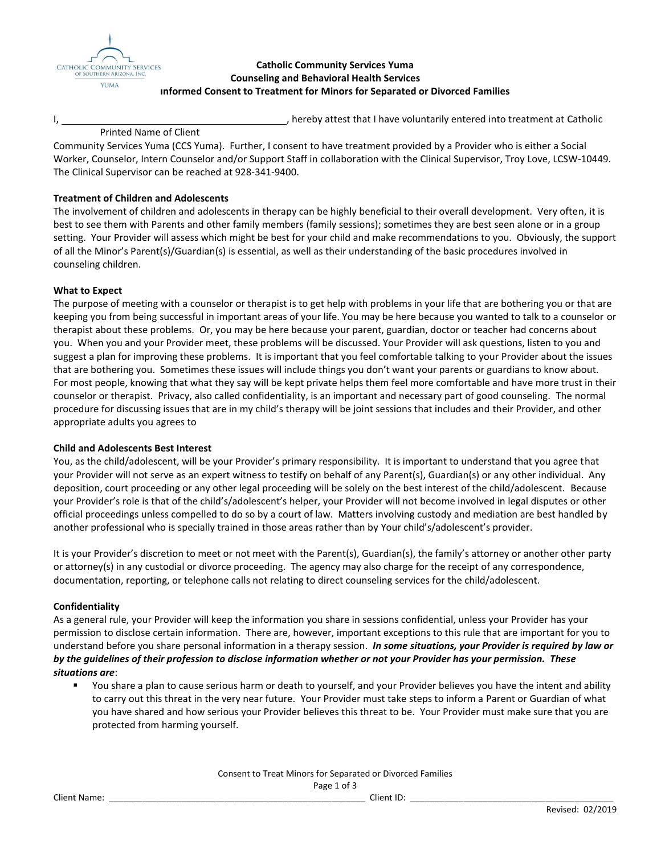

# **Catholic Community Services Yuma Counseling and Behavioral Health Services Informed Consent to Treatment for Minors for Separated or Divorced Families**

ightharporthered into treatment at Catholic .

## Printed Name of Client

Community Services Yuma (CCS Yuma). Further, I consent to have treatment provided by a Provider who is either a Social Worker, Counselor, Intern Counselor and/or Support Staff in collaboration with the Clinical Supervisor, Troy Love, LCSW-10449. The Clinical Supervisor can be reached at 928-341-9400.

# **Treatment of Children and Adolescents**

The involvement of children and adolescents in therapy can be highly beneficial to their overall development. Very often, it is best to see them with Parents and other family members (family sessions); sometimes they are best seen alone or in a group setting. Your Provider will assess which might be best for your child and make recommendations to you. Obviously, the support of all the Minor's Parent(s)/Guardian(s) is essential, as well as their understanding of the basic procedures involved in counseling children.

## **What to Expect**

The purpose of meeting with a counselor or therapist is to get help with problems in your life that are bothering you or that are keeping you from being successful in important areas of your life. You may be here because you wanted to talk to a counselor or therapist about these problems. Or, you may be here because your parent, guardian, doctor or teacher had concerns about you. When you and your Provider meet, these problems will be discussed. Your Provider will ask questions, listen to you and suggest a plan for improving these problems. It is important that you feel comfortable talking to your Provider about the issues that are bothering you. Sometimes these issues will include things you don't want your parents or guardians to know about. For most people, knowing that what they say will be kept private helps them feel more comfortable and have more trust in their counselor or therapist. Privacy, also called confidentiality, is an important and necessary part of good counseling. The normal procedure for discussing issues that are in my child's therapy will be joint sessions that includes and their Provider, and other appropriate adults you agrees to

## **Child and Adolescents Best Interest**

You, as the child/adolescent, will be your Provider's primary responsibility. It is important to understand that you agree that your Provider will not serve as an expert witness to testify on behalf of any Parent(s), Guardian(s) or any other individual. Any deposition, court proceeding or any other legal proceeding will be solely on the best interest of the child/adolescent. Because your Provider's role is that of the child's/adolescent's helper, your Provider will not become involved in legal disputes or other official proceedings unless compelled to do so by a court of law. Matters involving custody and mediation are best handled by another professional who is specially trained in those areas rather than by Your child's/adolescent's provider.

It is your Provider's discretion to meet or not meet with the Parent(s), Guardian(s), the family's attorney or another other party or attorney(s) in any custodial or divorce proceeding. The agency may also charge for the receipt of any correspondence, documentation, reporting, or telephone calls not relating to direct counseling services for the child/adolescent.

## **Confidentiality**

As a general rule, your Provider will keep the information you share in sessions confidential, unless your Provider has your permission to disclose certain information. There are, however, important exceptions to this rule that are important for you to understand before you share personal information in a therapy session. *In some situations, your Provider is required by law or by the guidelines of their profession to disclose information whether or not your Provider has your permission. These situations are*:

 You share a plan to cause serious harm or death to yourself, and your Provider believes you have the intent and ability to carry out this threat in the very near future. Your Provider must take steps to inform a Parent or Guardian of what you have shared and how serious your Provider believes this threat to be. Your Provider must make sure that you are protected from harming yourself.

| Consent to Treat Minors for Separated or Divorced Families |  |            |  |  |
|------------------------------------------------------------|--|------------|--|--|
| Page 1 of 3                                                |  |            |  |  |
| <b>Client Name:</b>                                        |  | Client ID: |  |  |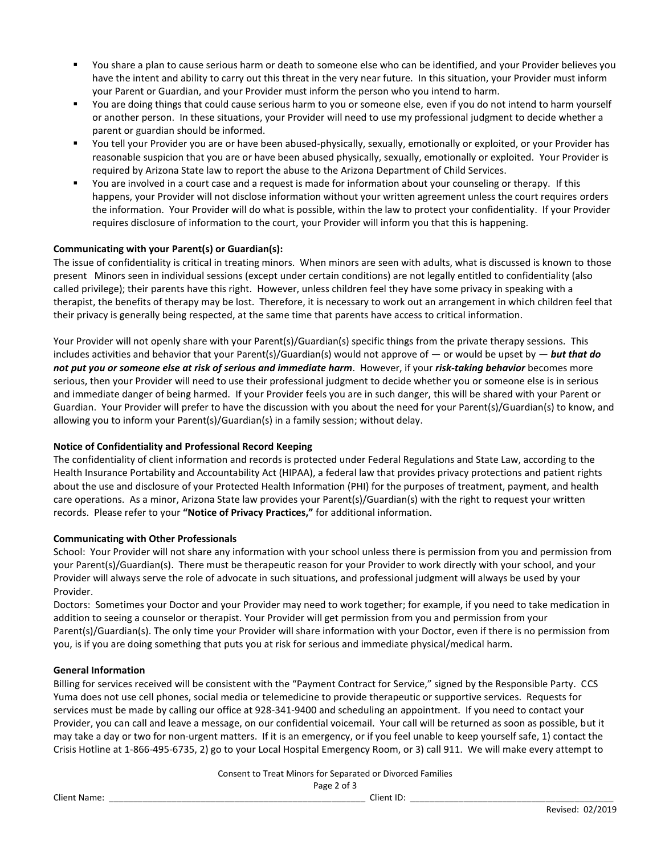- You share a plan to cause serious harm or death to someone else who can be identified, and your Provider believes you have the intent and ability to carry out this threat in the very near future. In this situation, your Provider must inform your Parent or Guardian, and your Provider must inform the person who you intend to harm.
- You are doing things that could cause serious harm to you or someone else, even if you do not intend to harm yourself or another person. In these situations, your Provider will need to use my professional judgment to decide whether a parent or guardian should be informed.
- You tell your Provider you are or have been abused-physically, sexually, emotionally or exploited, or your Provider has reasonable suspicion that you are or have been abused physically, sexually, emotionally or exploited. Your Provider is required by Arizona State law to report the abuse to the Arizona Department of Child Services.
- You are involved in a court case and a request is made for information about your counseling or therapy. If this happens, your Provider will not disclose information without your written agreement unless the court requires orders the information. Your Provider will do what is possible, within the law to protect your confidentiality. If your Provider requires disclosure of information to the court, your Provider will inform you that this is happening.

## **Communicating with your Parent(s) or Guardian(s):**

The issue of confidentiality is critical in treating minors. When minors are seen with adults, what is discussed is known to those present Minors seen in individual sessions (except under certain conditions) are not legally entitled to confidentiality (also called privilege); their parents have this right. However, unless children feel they have some privacy in speaking with a therapist, the benefits of therapy may be lost. Therefore, it is necessary to work out an arrangement in which children feel that their privacy is generally being respected, at the same time that parents have access to critical information.

Your Provider will not openly share with your Parent(s)/Guardian(s) specific things from the private therapy sessions. This includes activities and behavior that your Parent(s)/Guardian(s) would not approve of — or would be upset by — *but that do not put you or someone else at risk of serious and immediate harm*. However, if your *risk-taking behavior* becomes more serious, then your Provider will need to use their professional judgment to decide whether you or someone else is in serious and immediate danger of being harmed. If your Provider feels you are in such danger, this will be shared with your Parent or Guardian. Your Provider will prefer to have the discussion with you about the need for your Parent(s)/Guardian(s) to know, and allowing you to inform your Parent(s)/Guardian(s) in a family session; without delay.

## **Notice of Confidentiality and Professional Record Keeping**

The confidentiality of client information and records is protected under Federal Regulations and State Law, according to the Health Insurance Portability and Accountability Act (HIPAA), a federal law that provides privacy protections and patient rights about the use and disclosure of your Protected Health Information (PHI) for the purposes of treatment, payment, and health care operations. As a minor, Arizona State law provides your Parent(s)/Guardian(s) with the right to request your written records. Please refer to your **"Notice of Privacy Practices,"** for additional information.

## **Communicating with Other Professionals**

School: Your Provider will not share any information with your school unless there is permission from you and permission from your Parent(s)/Guardian(s). There must be therapeutic reason for your Provider to work directly with your school, and your Provider will always serve the role of advocate in such situations, and professional judgment will always be used by your Provider.

Doctors: Sometimes your Doctor and your Provider may need to work together; for example, if you need to take medication in addition to seeing a counselor or therapist. Your Provider will get permission from you and permission from your Parent(s)/Guardian(s). The only time your Provider will share information with your Doctor, even if there is no permission from you, is if you are doing something that puts you at risk for serious and immediate physical/medical harm.

## **General Information**

Billing for services received will be consistent with the "Payment Contract for Service," signed by the Responsible Party. CCS Yuma does not use cell phones, social media or telemedicine to provide therapeutic or supportive services. Requests for services must be made by calling our office at 928-341-9400 and scheduling an appointment. If you need to contact your Provider, you can call and leave a message, on our confidential voicemail. Your call will be returned as soon as possible, but it may take a day or two for non-urgent matters. If it is an emergency, or if you feel unable to keep yourself safe, 1) contact the Crisis Hotline at 1-866-495-6735, 2) go to your Local Hospital Emergency Room, or 3) call 911. We will make every attempt to

> Consent to Treat Minors for Separated or Divorced Families Page 2 of 3

Client Name: \_\_\_\_\_\_\_\_\_\_\_\_\_\_\_\_\_\_\_\_\_\_\_\_\_\_\_\_\_\_\_\_\_\_\_\_\_\_\_\_\_\_\_\_\_\_\_\_\_\_\_\_\_ Client ID: \_\_\_\_\_\_\_\_\_\_\_\_\_\_\_\_\_\_\_\_\_\_\_\_\_\_\_\_\_\_\_\_\_\_\_\_\_\_\_\_\_\_